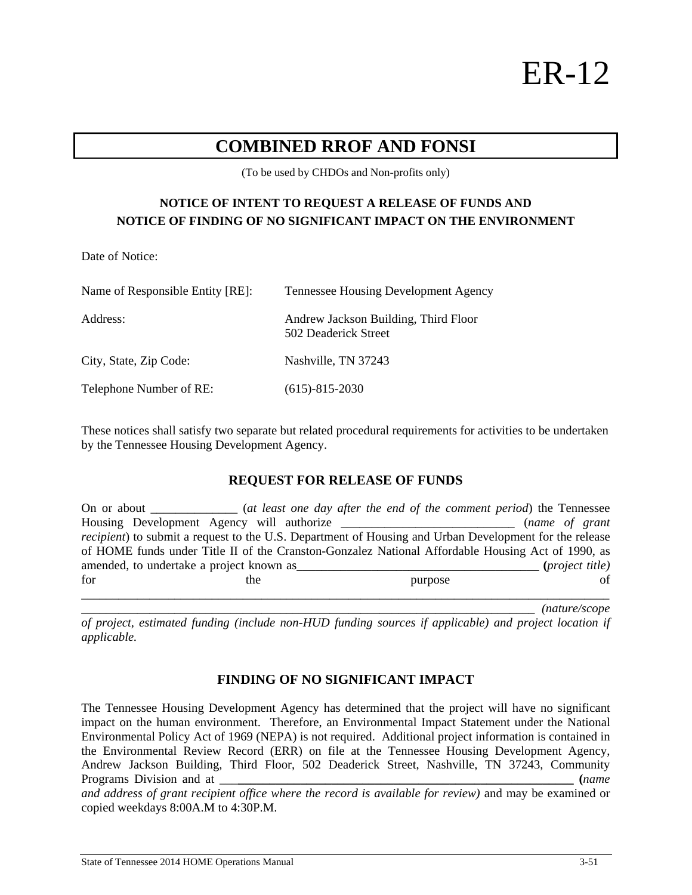ER-12

# **COMBINED RROF AND FONSI**

(To be used by CHDOs and Non-profits only)

## **NOTICE OF INTENT TO REQUEST A RELEASE OF FUNDS AND NOTICE OF FINDING OF NO SIGNIFICANT IMPACT ON THE ENVIRONMENT**

Date of Notice:

| Name of Responsible Entity [RE]: | <b>Tennessee Housing Development Agency</b>                  |  |  |
|----------------------------------|--------------------------------------------------------------|--|--|
| Address:                         | Andrew Jackson Building, Third Floor<br>502 Deaderick Street |  |  |
| City, State, Zip Code:           | Nashville, TN 37243                                          |  |  |
| Telephone Number of RE:          | $(615) - 815 - 2030$                                         |  |  |

These notices shall satisfy two separate but related procedural requirements for activities to be undertaken by the Tennessee Housing Development Agency.

#### **REQUEST FOR RELEASE OF FUNDS**

| On or about                                                                                       |     |  | (at least one day after the end of the comment period) the Tennessee                                           |  |                        |
|---------------------------------------------------------------------------------------------------|-----|--|----------------------------------------------------------------------------------------------------------------|--|------------------------|
| Housing Development Agency will authorize                                                         |     |  |                                                                                                                |  | (name of grant         |
|                                                                                                   |     |  | <i>recipient</i> ) to submit a request to the U.S. Department of Housing and Urban Development for the release |  |                        |
| of HOME funds under Title II of the Cranston-Gonzalez National Affordable Housing Act of 1990, as |     |  |                                                                                                                |  |                        |
| amended, to undertake a project known as                                                          |     |  |                                                                                                                |  | <i>(project title)</i> |
| for                                                                                               | the |  | purpose                                                                                                        |  | of                     |
|                                                                                                   |     |  |                                                                                                                |  |                        |

\_\_\_\_\_\_\_\_\_\_\_\_\_\_\_\_\_\_\_\_\_\_\_\_\_\_\_\_\_\_\_\_\_\_\_\_\_\_\_\_\_\_\_\_\_\_\_\_\_\_\_\_\_\_\_\_\_\_\_\_\_\_\_\_\_\_\_\_\_\_\_\_\_ *(nature/scope* 

*of project, estimated funding (include non-HUD funding sources if applicable) and project location if applicable.* 

#### **FINDING OF NO SIGNIFICANT IMPACT**

The Tennessee Housing Development Agency has determined that the project will have no significant impact on the human environment. Therefore, an Environmental Impact Statement under the National Environmental Policy Act of 1969 (NEPA) is not required. Additional project information is contained in the Environmental Review Record (ERR) on file at the Tennessee Housing Development Agency, Andrew Jackson Building, Third Floor, 502 Deaderick Street, Nashville, TN 37243, Community Programs Division and at \_\_\_**\_\_\_\_\_\_\_\_\_\_\_\_\_\_\_\_\_\_\_\_\_\_\_\_\_\_\_\_\_\_\_\_\_\_\_\_\_\_\_\_\_\_\_\_\_\_\_\_\_\_\_\_\_\_ (***name* 

and address of grant recipient office where the record is available for review) and may be examined or copied weekdays 8:00A.M to 4:30P.M.